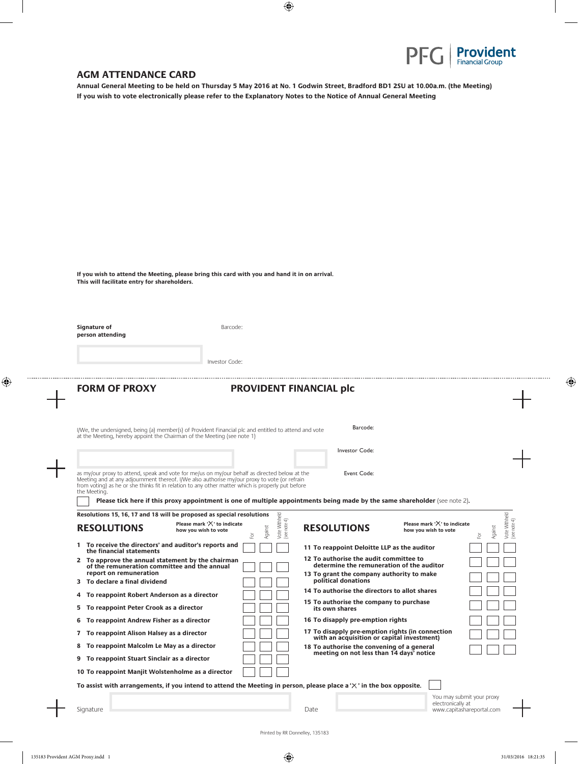

## **AGM ATTENDANCE CARD**

**Annual General Meeting to be held on Thursday 5 May 2016 at No. 1 Godwin Street, Bradford BD1 2SU at 10.00a.m. (the Meeting) If you wish to vote electronically please refer to the Explanatory Notes to the Notice of Annual General Meeting**

| If you wish to attend the Meeting, please bring this card with you and hand it in on arrival. |  |  |
|-----------------------------------------------------------------------------------------------|--|--|
| This will facilitate entry for shareholders.                                                  |  |  |

| Signature of<br>person attending                                                                                                                                                                                 | Barcode:                             |                                               |                                                                                                                                                   |                               |                                              |
|------------------------------------------------------------------------------------------------------------------------------------------------------------------------------------------------------------------|--------------------------------------|-----------------------------------------------|---------------------------------------------------------------------------------------------------------------------------------------------------|-------------------------------|----------------------------------------------|
|                                                                                                                                                                                                                  | Investor Code:                       |                                               |                                                                                                                                                   |                               |                                              |
| <b>FORM OF PROXY</b>                                                                                                                                                                                             |                                      |                                               | <b>PROVIDENT FINANCIAL plc</b>                                                                                                                    |                               |                                              |
| I/We, the undersigned, being (a) member(s) of Provident Financial plc and entitled to attend and vote<br>at the Meeting, hereby appoint the Chairman of the Meeting (see note 1)                                 |                                      |                                               | Barcode:                                                                                                                                          |                               |                                              |
|                                                                                                                                                                                                                  |                                      |                                               | Investor Code:                                                                                                                                    |                               |                                              |
| as my/our proxy to attend, speak and vote for me/us on my/our behalf as directed below at the<br>Meeting and at any adjournment thereof. I/We also authorise my/our proxy to vote (or refrain                    |                                      |                                               | Event Code:                                                                                                                                       |                               |                                              |
| from voting) as he or she thinks fit in relation to any other matter which is properly put before<br>the Meeting.<br>Resolutions 15, 16, 17 and 18 will be proposed as special resolutions<br><b>RESOLUTIONS</b> | Please mark ' $\times$ ' to indicate |                                               | Please tick here if this proxy appointment is one of multiple appointments being made by the same shareholder (see note 2).<br><b>RESOLUTIONS</b> | Please mark $'X'$ to indicate |                                              |
| 1 To receive the directors' and auditor's reports and                                                                                                                                                            | how you wish to vote                 | Vote Withheld<br>(see note 4)<br>Against<br>ĕ | 11 To reappoint Deloitte LLP as the auditor                                                                                                       | how you wish to vote          | Vote Withheld<br>see note 4)<br>Against<br>Ģ |
| the financial statements<br>2 To approve the annual statement by the chairman<br>of the remuneration committee and the annual                                                                                    |                                      |                                               | 12 To authorise the audit committee to<br>determine the remuneration of the auditor                                                               |                               |                                              |
| report on remuneration<br>3 To declare a final dividend                                                                                                                                                          |                                      |                                               | 13 To grant the company authority to make<br>political donations                                                                                  |                               |                                              |
| To reappoint Robert Anderson as a director<br>4                                                                                                                                                                  |                                      |                                               | 14 To authorise the directors to allot shares                                                                                                     |                               |                                              |
| To reappoint Peter Crook as a director<br>5                                                                                                                                                                      |                                      |                                               | 15 To authorise the company to purchase<br>its own shares                                                                                         |                               |                                              |
| To reappoint Andrew Fisher as a director<br>6                                                                                                                                                                    |                                      |                                               | 16 To disapply pre-emption rights                                                                                                                 |                               |                                              |
| To reappoint Alison Halsey as a director<br>7                                                                                                                                                                    |                                      |                                               | 17 To disapply pre-emption rights (in connection<br>with an acquisition or capital investment)                                                    |                               |                                              |
| To reappoint Malcolm Le May as a director<br>8                                                                                                                                                                   |                                      |                                               | 18 To authorise the convening of a general                                                                                                        |                               |                                              |
| To reappoint Stuart Sinclair as a director<br>9                                                                                                                                                                  |                                      |                                               | meeting on not less than 14 days' notice                                                                                                          |                               |                                              |

**To assist with arrangements, if you intend to attend the Meeting in person, please place a ' ' in the box opposite.** 

..........